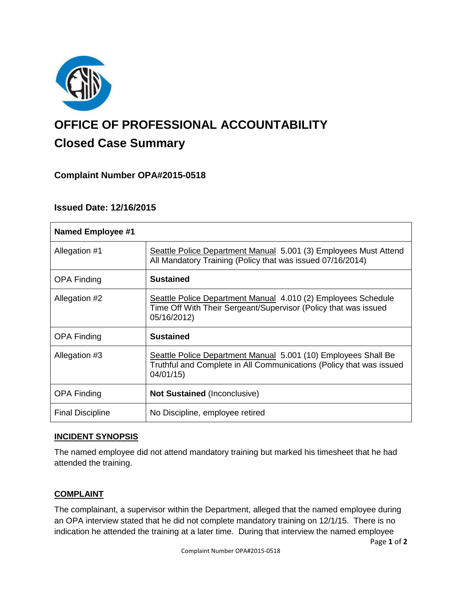

# **OFFICE OF PROFESSIONAL ACCOUNTABILITY Closed Case Summary**

# **Complaint Number OPA#2015-0518**

# **Issued Date: 12/16/2015**

| <b>Named Employee #1</b> |                                                                                                                                                   |
|--------------------------|---------------------------------------------------------------------------------------------------------------------------------------------------|
| Allegation #1            | Seattle Police Department Manual 5.001 (3) Employees Must Attend<br>All Mandatory Training (Policy that was issued 07/16/2014)                    |
| <b>OPA Finding</b>       | <b>Sustained</b>                                                                                                                                  |
| Allegation #2            | Seattle Police Department Manual 4.010 (2) Employees Schedule<br>Time Off With Their Sergeant/Supervisor (Policy that was issued<br>05/16/2012)   |
| <b>OPA Finding</b>       | <b>Sustained</b>                                                                                                                                  |
| Allegation #3            | Seattle Police Department Manual 5.001 (10) Employees Shall Be<br>Truthful and Complete in All Communications (Policy that was issued<br>04/01/15 |
| <b>OPA Finding</b>       | <b>Not Sustained (Inconclusive)</b>                                                                                                               |
| <b>Final Discipline</b>  | No Discipline, employee retired                                                                                                                   |

## **INCIDENT SYNOPSIS**

The named employee did not attend mandatory training but marked his timesheet that he had attended the training.

## **COMPLAINT**

The complainant, a supervisor within the Department, alleged that the named employee during an OPA interview stated that he did not complete mandatory training on 12/1/15. There is no indication he attended the training at a later time. During that interview the named employee